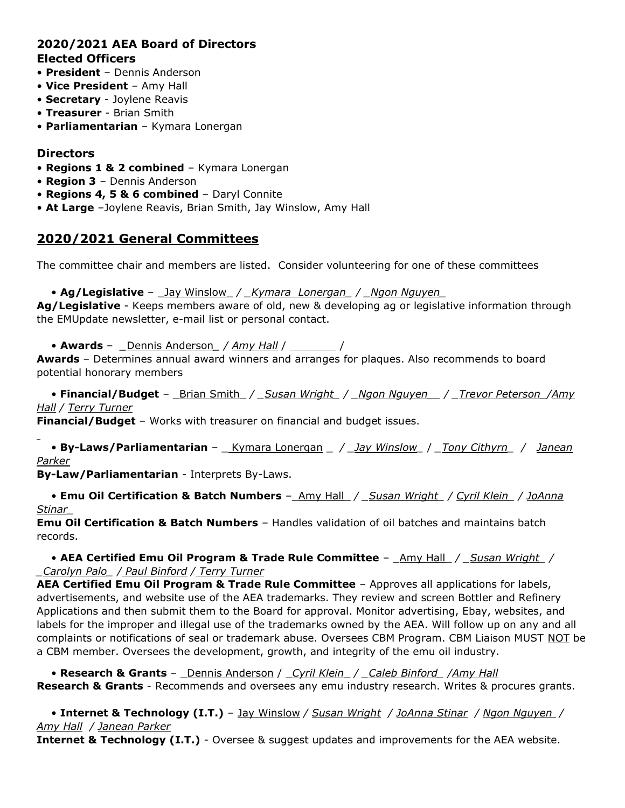# **2020/2021 AEA Board of Directors Elected Officers**

- **President** Dennis Anderson
- **Vice President** Amy Hall
- **Secretary** Joylene Reavis
- **Treasurer** Brian Smith
- **Parliamentarian** Kymara Lonergan

## **Directors**

- **Regions 1 & 2 combined** Kymara Lonergan
- **Region 3** Dennis Anderson
- **Regions 4, 5 & 6 combined** Daryl Connite
- **At Large** –Joylene Reavis, Brian Smith, Jay Winslow, Amy Hall

# **2020/2021 General Committees**

The committee chair and members are listed. Consider volunteering for one of these committees

#### • **Ag/Legislative** – Jay Winslow / *Kymara Lonergan / Ngon Nguyen*

**Ag/Legislative** - Keeps members aware of old, new & developing ag or legislative information through the EMUpdate newsletter, e-mail list or personal contact.

• **Awards** – *\_*Dennis Anderson*\_ / Amy Hall* / /

**Awards** – Determines annual award winners and arranges for plaques. Also recommends to board potential honorary members

• **Financial/Budget** – \_Brian Smith\_ */ \_Susan Wright\_ / \_Ngon Nguyen\_\_ / \_Trevor Peterson\_/Amy Hall / Terry Turner*

**Financial/Budget** – Works with treasurer on financial and budget issues.

• **By-Laws/Parliamentarian** – \_ Kymara Lonergan \_ */ \_Jay Winslow\_* / *\_Tony Cithyrn\_ / Janean Parker*

**By-Law/Parliamentarian** - Interprets By-Laws.

• **Emu Oil Certification & Batch Numbers** –\_Amy Hall\_ */ \_Susan Wright\_ / Cyril Klein\_ / JoAnna Stinar\_* 

**Emu Oil Certification & Batch Numbers** – Handles validation of oil batches and maintains batch records.

• **AEA Certified Emu Oil Program & Trade Rule Committee** – \_Amy Hall\_ */ \_Susan Wright\_ / \_Carolyn Palo\_ / Paul Binford / Terry Turner*

**AEA Certified Emu Oil Program & Trade Rule Committee** – Approves all applications for labels, advertisements, and website use of the AEA trademarks. They review and screen Bottler and Refinery Applications and then submit them to the Board for approval. Monitor advertising, Ebay, websites, and labels for the improper and illegal use of the trademarks owned by the AEA. Will follow up on any and all complaints or notifications of seal or trademark abuse. Oversees CBM Program. CBM Liaison MUST NOT be a CBM member. Oversees the development, growth, and integrity of the emu oil industry.

• **Research & Grants** – \_Dennis Anderson / \_*Cyril Klein*\_ */ \_Caleb Binford\_ /Amy Hall* **Research & Grants** - Recommends and oversees any emu industry research. Writes & procures grants.

• **Internet & Technology (I.T.)** – Jay Winslow */ Susan Wright / JoAnna Stinar / Ngon Nguyen / Amy Hall / Janean Parker*

**Internet & Technology (I.T.)** - Oversee & suggest updates and improvements for the AEA website.